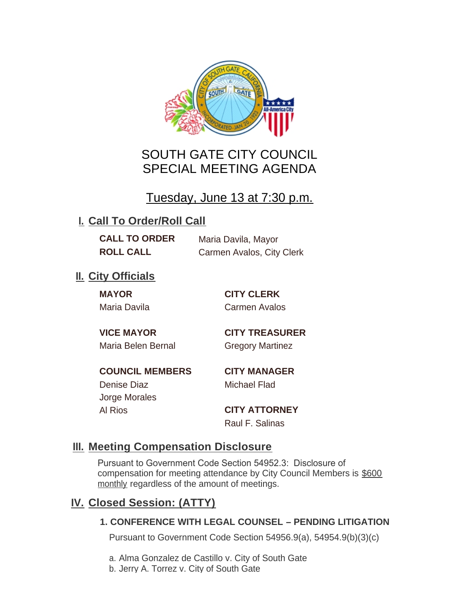

# SOUTH GATE CITY COUNCIL SPECIAL MEETING AGENDA

# Tuesday, June 13 at 7:30 p.m.

## **I. Call To Order/Roll Call**

**CALL TO ORDER** Maria Davila, Mayor **ROLL CALL** Carmen Avalos, City Clerk

## **II.** City Officials

**MAYOR CITY CLERK**

Maria Davila Carmen Avalos

Maria Belen Bernal Gregory Martinez

**VICE MAYOR CITY TREASURER**

**COUNCIL MEMBERS CITY MANAGER** Denise Diaz Michael Flad

Jorge Morales

Al Rios **CITY ATTORNEY** Raul F. Salinas

### **Meeting Compensation Disclosure III.**

Pursuant to Government Code Section 54952.3: Disclosure of compensation for meeting attendance by City Council Members is \$600 monthly regardless of the amount of meetings.

## **Closed Session: (ATTY) IV.**

### **1. CONFERENCE WITH LEGAL COUNSEL – PENDING LITIGATION**

Pursuant to Government Code Section 54956.9(a), 54954.9(b)(3)(c)

a. Alma Gonzalez de Castillo v. City of South Gate

b. Jerry A. Torrez v. City of South Gate